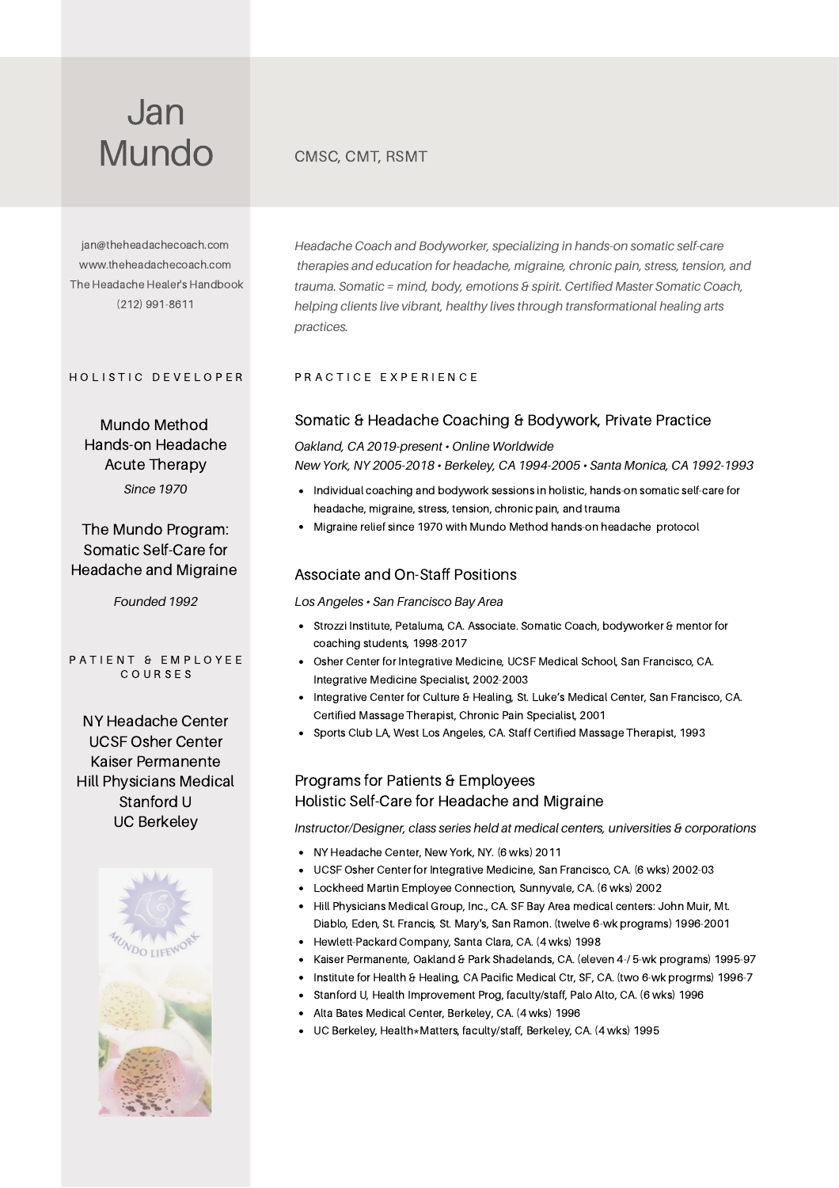[jan@theheadachecoach.com](mailto:jan@theheadachecoach.com) [www.theheadachecoach.com](https://theheadachecoach.com/) The Headache Healer's [Handbook](https://amzn.to/2vPeOe3) (212) 991-8611

Mundo Method Hands-on Headache Acute Therapy *Since 1970*

## The Mundo Program: Somatic Self-Care for Headache and Migraine

*Founded 1992*

#### PATIENT & EMPLOYEE C O U R S E S

NY Headache Center UCSF Osher Center Kaiser Permanente Hill Physicians Medical Stanford U UC Berkeley



*Headache Coach and Bodyworker, specializing in hands-on somatic self-care therapies and education for headache, migraine, chronic pain, stress, tension, and trauma. Somatic = mind, body, emotions & spirit. Certified Master Somatic Coach, helping clients live vibrant, healthy lives through transformational healing arts practices.*

#### HOLISTIC DEVELOPER PRACTICE EXPERIENCE

#### Somatic & Headache Coaching & Bodywork, Private Practice

#### *Oakland, CA 2019-present • Online Worldwide*

*New York, NY 2005-2018 • Berkeley, CA 1994-2005 • Santa Monica, CA 1992-1993*

- Individual coaching and bodywork sessions in holistic, hands-on somatic self-care for headache, migraine, stress, tension, chronic pain, and trauma
- Migraine relief since 1970 with Mundo Method hands-on headache protocol

#### Associate and On-Staff Positions

#### *Los Angeles • San Francisco Bay Area*

- Strozzi Institute, Petaluma, CA. Associate. Somatic Coach, bodyworker & mentor for coaching students, 1998-2017
- Osher Center for Integrative Medicine, UCSF Medical School, San Francisco, CA. Integrative Medicine Specialist, 2002-2003
- Integrative Center for Culture & Healing, St. Luke's Medical Center, San Francisco, CA.  $\bullet$ Certified Massage Therapist, Chronic Pain Specialist, 2001
- Sports Club LA, West Los Angeles, CA. Staff Certified Massage Therapist, 1993

## Programs for Patients & Employees Holistic Self-Care for Headache and Migraine

*Instructor/Designer, class series held at medical centers, universities & corporations*

- NY Headache Center, New York, NY. (6 wks) 2011
- UCSF Osher Center for Integrative Medicine, San Francisco, CA. (6 wks) 2002-03
- Lockheed Martin Employee Connection, Sunnyvale, CA. (6 wks) 2002
- Hill Physicians Medical Group, Inc., CA. SF Bay Area medical centers: John Muir, Mt. Diablo, Eden, St. Francis, St. Mary's, San Ramon. (twelve 6-wk programs) 1996-2001
- Hewlett-Packard Company, Santa Clara, CA. (4 wks) 1998
- Kaiser Permanente, Oakland & Park Shadelands, CA. (eleven 4-/ 5-wk programs) 1995-97
- $\bullet$ Institute for Health & Healing, CA Pacific Medical Ctr, SF, CA. (two 6-wk progrms) 1996-7
- Stanford U, Health Improvement Prog, faculty/staff, Palo Alto, CA. (6 wks) 1996
- Alta Bates Medical Center, Berkeley, CA. (4 wks) 1996
- UC Berkeley, Health\*Matters, faculty/staff, Berkeley, CA. (4 wks) 1995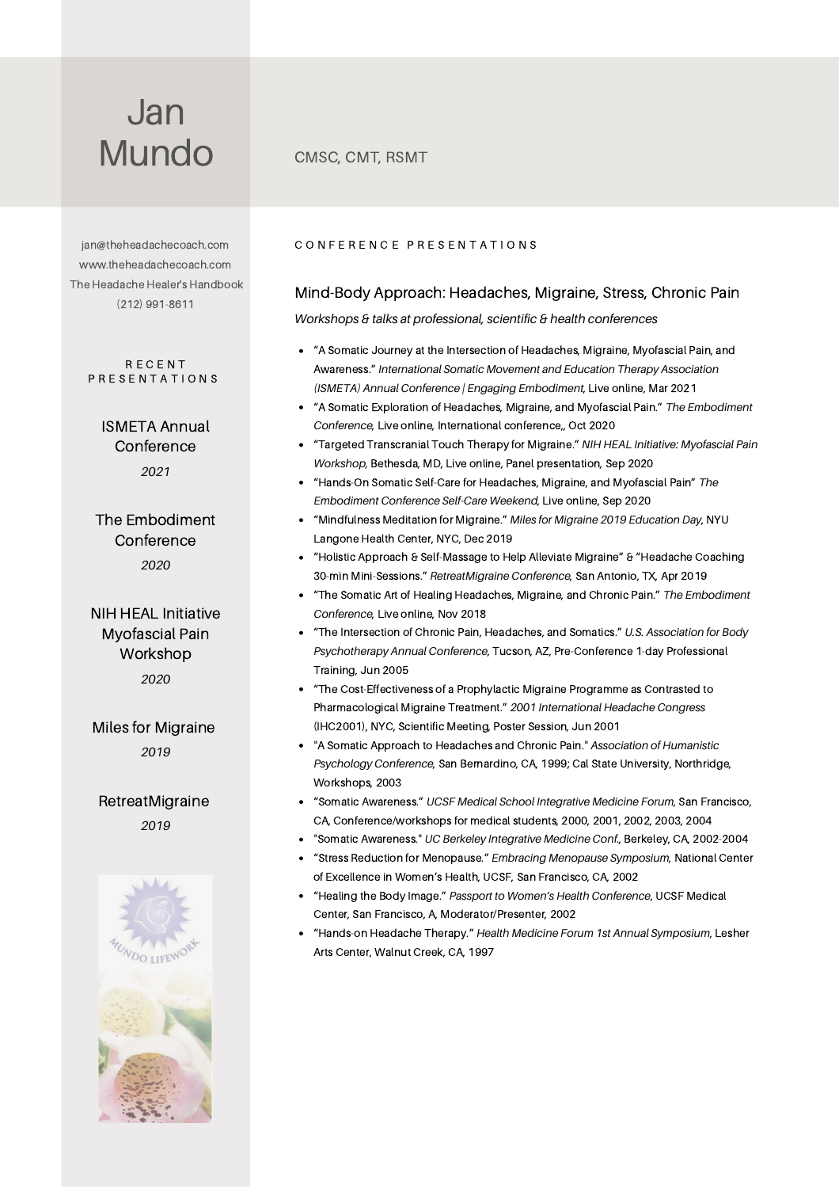[jan@theheadachecoach.com](mailto:jan@theheadachecoach.com) [www.theheadachecoach.com](https://theheadachecoach.com/) The Headache Healer's [Handbook](https://amzn.to/2vPeOe3) (212) 991-8611

R E C E N T P R E S E N T A T I O N S

> ISMETA Annual **Conference** *2021*

The Embodiment **Conference** *2020*

NIH HEAL Initiative Myofascial Pain Workshop *2020*

*2019* Miles for Migraine

*2019* RetreatMigraine



#### CONFERENCE PRESENTATIONS

## Mind-Body Approach: Headaches, Migraine, Stress, Chronic Pain

*Workshops & talks at professional, scientific & health conferences*

- "A Somatic Journey at the Intersection of Headaches, Migraine, Myofascial Pain, and Awareness." *International Somatic Movement and Education Therapy Association (ISMETA) Annual Conference | Engaging Embodiment*, Live online, Mar 2021
- "A Somatic Exploration of Headaches, Migraine, and Myofascial Pain." *The Embodiment Conference*, Live online, International conference,, Oct 2020
- "Targeted Transcranial Touch Therapy for Migraine." *NIH HEAL Initiative: Myofascial Pain Workshop,* Bethesda, MD, Live online, Panel presentation, Sep 2020
- "Hands-On Somatic Self-Care for Headaches, Migraine, and Myofascial Pain" *The Embodiment Conference Self-Care Weekend*, Live online, Sep 2020
- "Mindfulness Meditation for Migraine." *Miles for Migraine 2019 Education Day*, NYU Langone Health Center, NYC, Dec 2019
- $\bullet$ "Holistic Approach & Self-Massage to Help Alleviate Migraine" & "Headache Coaching 30-min Mini-Sessions." *RetreatMigraine Conference*, San Antonio, TX, Apr 2019
- "The Somatic Art of Healing Headaches, Migraine, and Chronic Pain." *The Embodiment Conference*, Live online, Nov 2018
- "The Intersection of Chronic Pain, Headaches, and Somatics." *U.S. Association for Body Psychotherapy Annual Conference*, Tucson, AZ, Pre-Conference 1-day Professional Training, Jun 2005
- "The Cost-Effectiveness of a Prophylactic Migraine Programme as Contrasted to Pharmacological Migraine Treatment." *2001 International Headache Congress* (IHC2001), NYC, Scientific Meeting, Poster Session, Jun 2001
- "A Somatic Approach to Headaches and Chronic Pain." *Association of Humanistic Psychology Conference*, San Bernardino, CA, 1999; Cal State University, Northridge, Workshops, 2003
- "Somatic Awareness." *UCSF Medical School Integrative Medicine Forum*, San Francisco, CA, Conference/workshops for medical students, 2000, 2001, 2002, 2003, 2004
- "Somatic Awareness." *UC Berkeley Integrative Medicine Conf*., Berkeley, CA, 2002-2004
- $\bullet$ "Stress Reduction for Menopause." *Embracing Menopause Symposium*, National Center of Excellence in Women's Health, UCSF, San Francisco, CA, 2002
- "Healing the Body Image." *Passport to Women's Health Conference*, UCSF Medical Center, San Francisco, A, Moderator/Presenter, 2002
- "Hands-on Headache Therapy." *Health Medicine Forum 1st Annual Symposium*, Lesher Arts Center, Walnut Creek, CA, 1997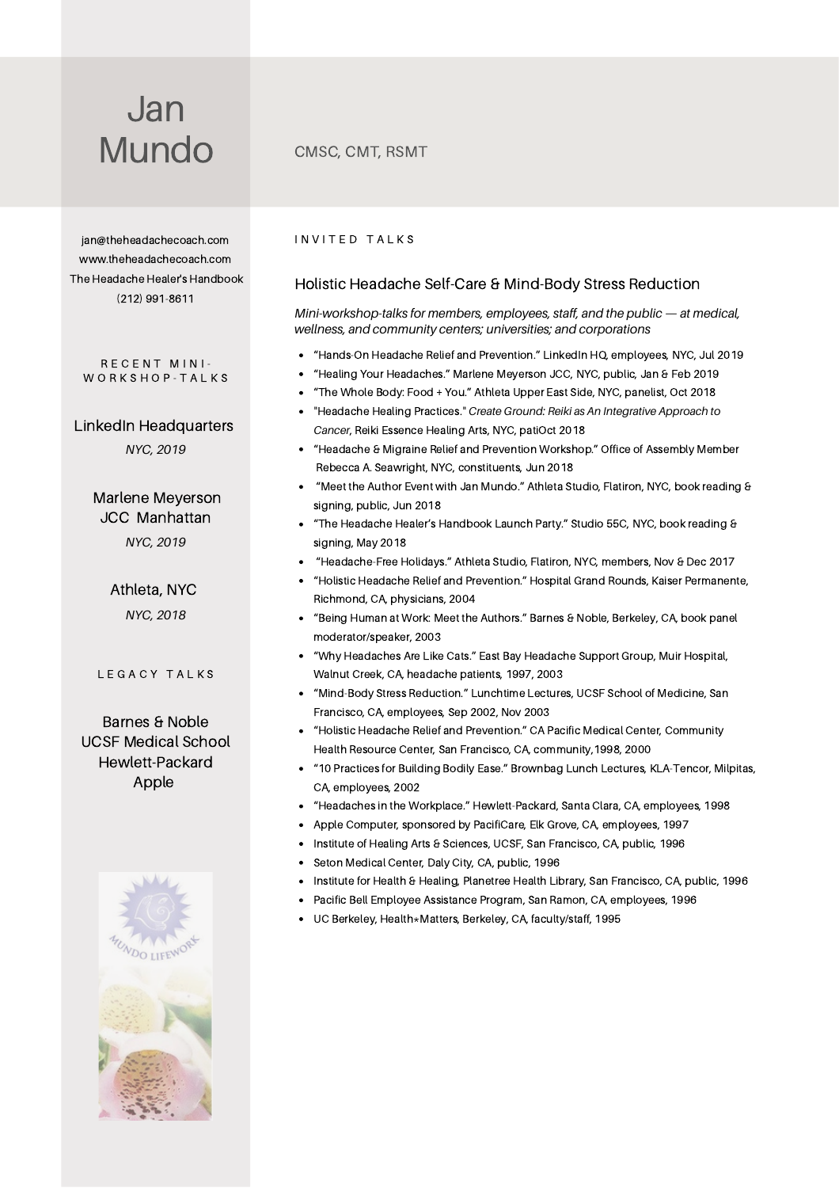[jan@theheadachecoach.com](mailto:jan@theheadachecoach.com) [www.theheadachecoach.com](https://theheadachecoach.com/) The Headache Healer's [Handbook](https://amzn.to/2vPeOe3) (212) 991-8611

#### RECENT MINI-W O R K S H O P - T A L K S

LinkedIn Headquarters *NYC, 2019*

> Marlene Meyerson JCC Manhattan *NYC, 2019*

> > Athleta, NYC *NYC, 2018*

#### L E G A C Y T A L K S

Barnes & Noble UCSF Medical School Hewlett-Packard Apple



#### INVITED TALKS

#### Holistic Headache Self-Care & Mind-Body Stress Reduction

*Mini-workshop-talks for members, employees, staff, and the public — at medical, wellness, and community centers; universities; and corporations*

- $\bullet$ "Hands-On Headache Relief and Prevention." LinkedIn HQ, employees, NYC, Jul 2019
- "Healing Your Headaches." Marlene Meyerson JCC, NYC, public, Jan & Feb 2019
- "The Whole Body: Food + You." Athleta Upper East Side, NYC, panelist, Oct 2018
- "Headache Healing Practices." *Create Ground: Reiki as An Integrative Approach to Cancer*, Reiki Essence Healing Arts, NYC, patiOct 2018
- "Headache & Migraine Relief and Prevention Workshop." Office of Assembly Member Rebecca A. Seawright, NYC, constituents, Jun 2018
- "Meet the Author Event with Jan Mundo." Athleta Studio, Flatiron, NYC, book reading & signing, public, Jun 2018
- "The Headache Healer's Handbook Launch Party." Studio 55C, NYC, book reading & signing, May 2018
- "Headache-Free Holidays." Athleta Studio, Flatiron, NYC, members, Nov & Dec 2017
- "Holistic Headache Relief and Prevention." Hospital Grand Rounds, Kaiser Permanente, Richmond, CA, physicians, 2004
- "Being Human at Work: Meet the Authors." Barnes & Noble, Berkeley, CA, book panel moderator/speaker, 2003
- "Why Headaches Are Like Cats." East Bay Headache Support Group, Muir Hospital, Walnut Creek, CA, headache patients, 1997, 2003
- "Mind-Body Stress Reduction." Lunchtime Lectures, UCSF School of Medicine, San Francisco, CA, employees, Sep 2002, Nov 2003
- "Holistic Headache Relief and Prevention." CA Pacific Medical Center, Community Health Resource Center, San Francisco, CA, community,1998, 2000
- "10 Practices for Building Bodily Ease." Brownbag Lunch Lectures, KLA-Tencor, Milpitas, CA, employees, 2002
- "Headaches in the Workplace." Hewlett-Packard, Santa Clara, CA, employees, 1998
- Apple Computer, sponsored by PacifiCare, Elk Grove, CA, employees, 1997  $\bullet$
- Institute of Healing Arts & Sciences, UCSF, San Francisco, CA, public, 1996
- Seton Medical Center, Daly City, CA, public, 1996
- $\bullet$ Institute for Health & Healing, Planetree Health Library, San Francisco, CA, public, 1996
- Pacific Bell Employee Assistance Program, San Ramon, CA, employees, 1996
- UC Berkeley, Health\*Matters, Berkeley, CA, faculty/staff, 1995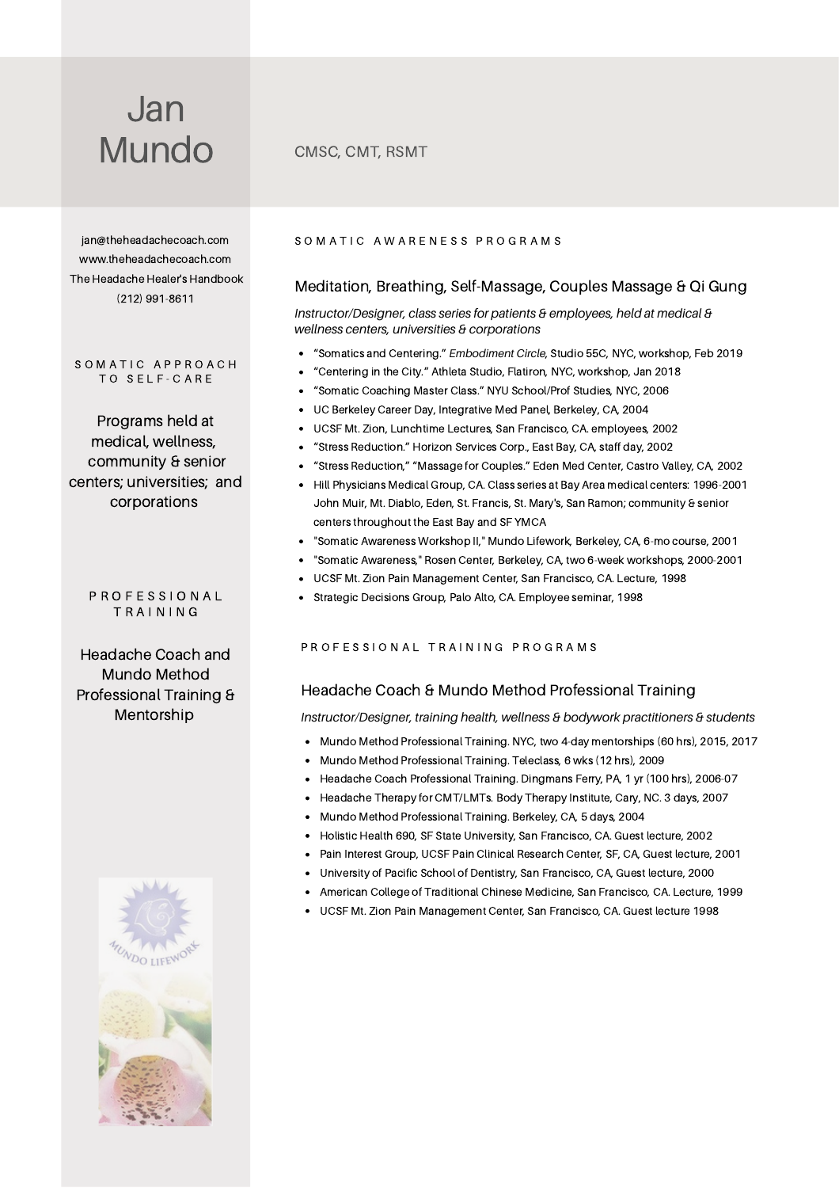[jan@theheadachecoach.com](mailto:jan@theheadachecoach.com) [www.theheadachecoach.com](https://theheadachecoach.com/) The Headache Healer's [Handbook](https://amzn.to/2vPeOe3) (212) 991-8611

#### SOMATIC APPROACH T O S E L F - C A R E

Programs held at medical, wellness, community & senior centers; universities; and corporations

#### P R O F E S S I O N A L T R A I N I N G

Headache Coach and Mundo Method Professional Training & Mentorship



#### SOMATIC AWARENESS PROGRAMS

#### Meditation, Breathing, Self-Massage, Couples Massage & Qi Gung

*Instructor/Designer, class series for patients & employees, held at medical & wellness centers, universities & corporations*

- "Somatics and Centering." *Embodiment Circle*, Studio 55C, NYC, workshop, Feb 2019
- "Centering in the City." Athleta Studio, Flatiron, NYC, workshop, Jan 2018
- $\bullet$ "Somatic Coaching Master Class." NYU School/Prof Studies, NYC, 2006
- UC Berkeley Career Day, Integrative Med Panel, Berkeley, CA, 2004
- UCSF Mt. Zion, Lunchtime Lectures, San Francisco, CA. employees, 2002
- "Stress Reduction." Horizon Services Corp., East Bay, CA, staff day, 2002
- "Stress Reduction," "Massage for Couples." Eden Med Center, Castro Valley, CA, 2002
- Hill Physicians Medical Group, CA. Class series at Bay Area medical centers: 1996-2001 John Muir, Mt. Diablo, Eden, St. Francis, St. Mary's, San Ramon; community & senior centers throughout the East Bay and SF YMCA
- "Somatic Awareness Workshop II," Mundo Lifework, Berkeley, CA, 6-mo course, 2001
- "Somatic Awareness," Rosen Center, Berkeley, CA, two 6-week workshops, 2000-2001
- UCSF Mt. Zion Pain Management Center, San Francisco, CA. Lecture, 1998
- Strategic Decisions Group, Palo Alto, CA. Employee seminar, 1998

#### P R O F E S S I O N A L T R A I N I N G P R O G R A M S

#### Headache Coach & Mundo Method Professional Training

*Instructor/Designer, training health, wellness & bodywork practitioners & students*

- Mundo Method Professional Training. NYC, two 4-day mentorships (60 hrs), 2015, 2017
- Mundo Method Professional Training. Teleclass, 6 wks (12 hrs), 2009
- Headache Coach Professional Training. Dingmans Ferry, PA, 1 yr (100 hrs), 2006-07
- Headache Therapy for CMT/LMTs. Body Therapy Institute, Cary, NC. 3 days, 2007
- Mundo Method Professional Training. Berkeley, CA, 5 days, 2004
- Holistic Health 690, SF State University, San Francisco, CA. Guest lecture, 2002
- Pain Interest Group, UCSF Pain Clinical Research Center, SF, CA, Guest lecture, 2001
- University of Pacific School of Dentistry, San Francisco, CA, Guest lecture, 2000
- American College of Traditional Chinese Medicine, San Francisco, CA. Lecture, 1999
- UCSF Mt. Zion Pain Management Center, San Francisco, CA. Guest lecture 1998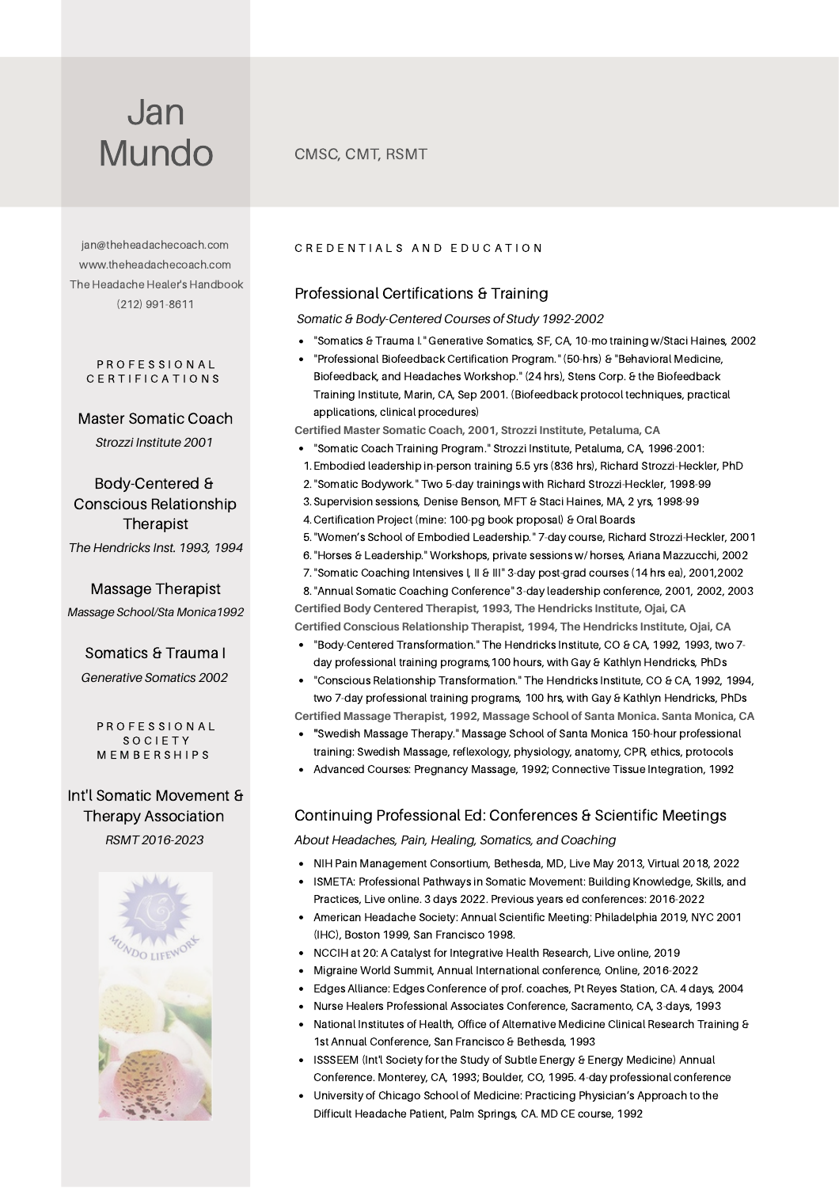[jan@theheadachecoach.com](mailto:jan@theheadachecoach.com) [www.theheadachecoach.com](https://theheadachecoach.com/) The Headache Healer's [Handbook](https://amzn.to/2vPeOe3) (212) 991-8611

#### PROFESSIONAL CERTIFICATIONS

Master Somatic Coach *Strozzi Institute 2001*

Body-Centered & Conscious Relationship Therapist *The Hendricks Inst. 1993, 1994*

Massage Therapist *Massage School/Sta Monica1992*

## Somatics & Trauma I

*Generative Somatics 2002*

PROFESSIONAL **SOCIETY** M E M B E R S H I P S

## Int'l Somatic Movement & Therapy Association *RSMT 2016-2023*



#### CREDENTIALS AND EDUCATION

## Professional Certifications & Training

*Somatic & Body-Centered Courses of Study 1992-2002*

- "Somatics & Trauma I." Generative Somatics*,* SF, CA, 10-mo training w/Staci Haines, 2002
- "Professional Biofeedback Certification Program." (50-hrs) & "Behavioral Medicine, Biofeedback, and Headaches Workshop." (24 hrs), Stens Corp. & the Biofeedback Training Institute, Marin, CA, Sep 2001. (Biofeedback protocol techniques, practical applications, clinical procedures)

**Certified Master Somatic Coach, 2001, Strozzi Institute, Petaluma, CA**

- "Somatic Coach Training Program." Strozzi Institute, Petaluma, CA, 1996-2001:
- Embodied leadership in-person training 5.5 yrs (836 hrs), Richard Strozzi-Heckler, PhD 1.
- "Somatic Bodywork." Two 5-day trainings with Richard Strozzi-Heckler, 1998-99 2.
- 3. Supervision sessions, Denise Benson, MFT & Staci Haines, MA, 2 yrs, 1998-99
- Certification Project (mine: 100-pg book proposal) & Oral Boards 4.
- 5. "Women's School of Embodied Leadership." 7-day course, Richard Strozzi-Heckler, 2001
- 6. "Horses & Leadership." Workshops, private sessions w/ horses, Ariana Mazzucchi, 2002

7. "Somatic Coaching Intensives I, II & III" 3-day post-grad courses (14 hrs ea), 2001,2002 "Annual Somatic Coaching Conference" 3-day leadership conference, 2001, 2002, 2003 8. **Certified Body Centered Therapist, 1993, The Hendricks Institute, Ojai, CA Certified Conscious Relationship Therapist, 1994, The Hendricks Institute, Ojai, CA**

- "Body-Centered Transformation." The Hendricks Institute, CO & CA, 1992, 1993, two 7-
- day professional training programs,100 hours, with Gay & Kathlyn Hendricks, PhDs "Conscious Relationship Transformation." The Hendricks Institute, CO & CA, 1992, 1994,
- two 7-day professional training programs, 100 hrs, with Gay & Kathlyn Hendricks, PhDs

**Certified Massage Therapist, 1992, Massage School of Santa Monica. Santa Monica, CA**

- **"**Swedish Massage Therapy." Massage School of Santa Monica 150-hour professional training: Swedish Massage, reflexology, physiology, anatomy, CPR, ethics, protocols
- Advanced Courses: Pregnancy Massage, 1992; Connective Tissue Integration, 1992

## Continuing Professional Ed: Conferences & Scientific Meetings

*About Headaches, Pain, Healing, Somatics, and Coaching*

- NIH Pain Management Consortium, Bethesda, MD, Live May 2013, Virtual 2018, 2022
- ISMETA: Professional Pathways in Somatic Movement: Building Knowledge, Skills, and Practices, Live online. 3 days 2022. Previous years ed conferences: 2016-2022
- American Headache Society: Annual Scientific Meeting: Philadelphia 2019, NYC 2001  $\bullet$ (IHC), Boston 1999, San Francisco 1998.
- NCCIH at 20: A Catalyst for Integrative Health Research, Live online, 2019
- Migraine World Summit, Annual International conference, Online, 2016-2022
- Edges Alliance: Edges Conference of prof. coaches, Pt Reyes Station, CA. 4 days, 2004
- Nurse Healers Professional Associates Conference, Sacramento, CA, 3-days, 1993
- National Institutes of Health, Office of Alternative Medicine Clinical Research Training & 1st Annual Conference, San Francisco & Bethesda, 1993
- ISSSEEM (Int'l Society for the Study of Subtle Energy & Energy Medicine) Annual  $\bullet$ Conference. Monterey, CA, 1993; Boulder, CO, 1995. 4-day professional conference
- $\bullet$ University of Chicago School of Medicine: Practicing Physician's Approach to the Difficult Headache Patient, Palm Springs, CA. MD CE course, 1992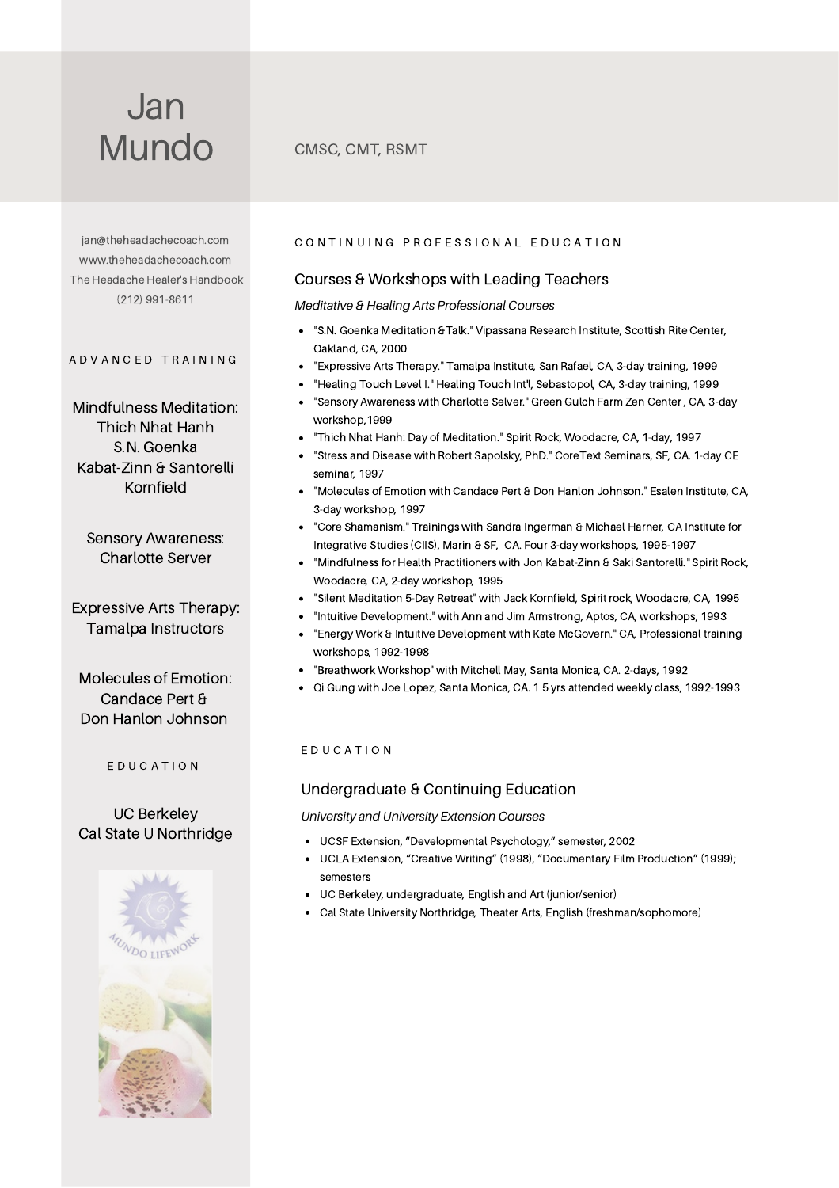[jan@theheadachecoach.com](mailto:jan@theheadachecoach.com) [www.theheadachecoach.com](https://theheadachecoach.com/) The Headache Healer's [Handbook](https://amzn.to/2vPeOe3) (212) 991-8611

#### A D V A N C E D T R A I N I N G

Mindfulness Meditation: Thich Nhat Hanh S.N. Goenka Kabat-Zinn & Santorelli Kornfield

Sensory Awareness: Charlotte Server

Expressive Arts Therapy: Tamalpa Instructors

Molecules of Emotion: Candace Pert & Don Hanlon Johnson

E D U C A T I O N

## UC Berkeley Cal State U Northridge



#### CON TINUING PROFESSIONAL EDUCATION

#### Courses & Workshops with Leading Teachers

*Meditative & Healing Arts Professional Courses*

- "S.N. Goenka Meditation &Talk." Vipassana Research Institute, Scottish Rite Center,  $\bullet$ Oakland, CA, 2000
- "Expressive Arts Therapy." Tamalpa Institute, San Rafael, CA, 3-day training, 1999
- "Healing Touch Level I." Healing Touch Int'l, Sebastopol, CA, 3-day training, 1999
- "Sensory Awareness with Charlotte Selver." Green Gulch Farm Zen Center , CA, 3-day workshop,1999
- "Thich Nhat Hanh: Day of Meditation." Spirit Rock, Woodacre, CA, 1-day, 1997
- "Stress and Disease with Robert Sapolsky, PhD." CoreText Seminars, SF, CA. 1-day CE seminar, 1997
- "Molecules of Emotion with Candace Pert & Don Hanlon Johnson." Esalen Institute, CA, 3-day workshop, 1997
- "Core Shamanism." Trainings with Sandra Ingerman & Michael Harner, CA Institute for Integrative Studies (CIIS), Marin & SF, CA. Four 3-day workshops, 1995-1997
- "Mindfulness for Health Practitioners with Jon Kabat-Zinn & Saki Santorelli." Spirit Rock, Woodacre, CA, 2-day workshop, 1995
- "Silent Meditation 5-Day Retreat" with Jack Kornfield, Spirit rock, Woodacre, CA, 1995
- "Intuitive Development." with Ann and Jim Armstrong, Aptos, CA, workshops, 1993
- "Energy Work & Intuitive Development with Kate McGovern." CA, Professional training workshops, 1992-1998
- "Breathwork Workshop" with Mitchell May, Santa Monica, CA. 2-days, 1992
- Qi Gung with Joe Lopez, Santa Monica, CA. 1.5 yrs attended weekly class, 1992-1993

#### E D U C A T I O N

#### Undergraduate & Continuing Education

*University and University Extension Courses*

- UCSF Extension, "Developmental Psychology," semester, 2002
- UCLA Extension, "Creative Writing" (1998), "Documentary Film Production" (1999); semesters
- UC Berkeley, undergraduate, English and Art (junior/senior)
- Cal State University Northridge, Theater Arts, English (freshman/sophomore)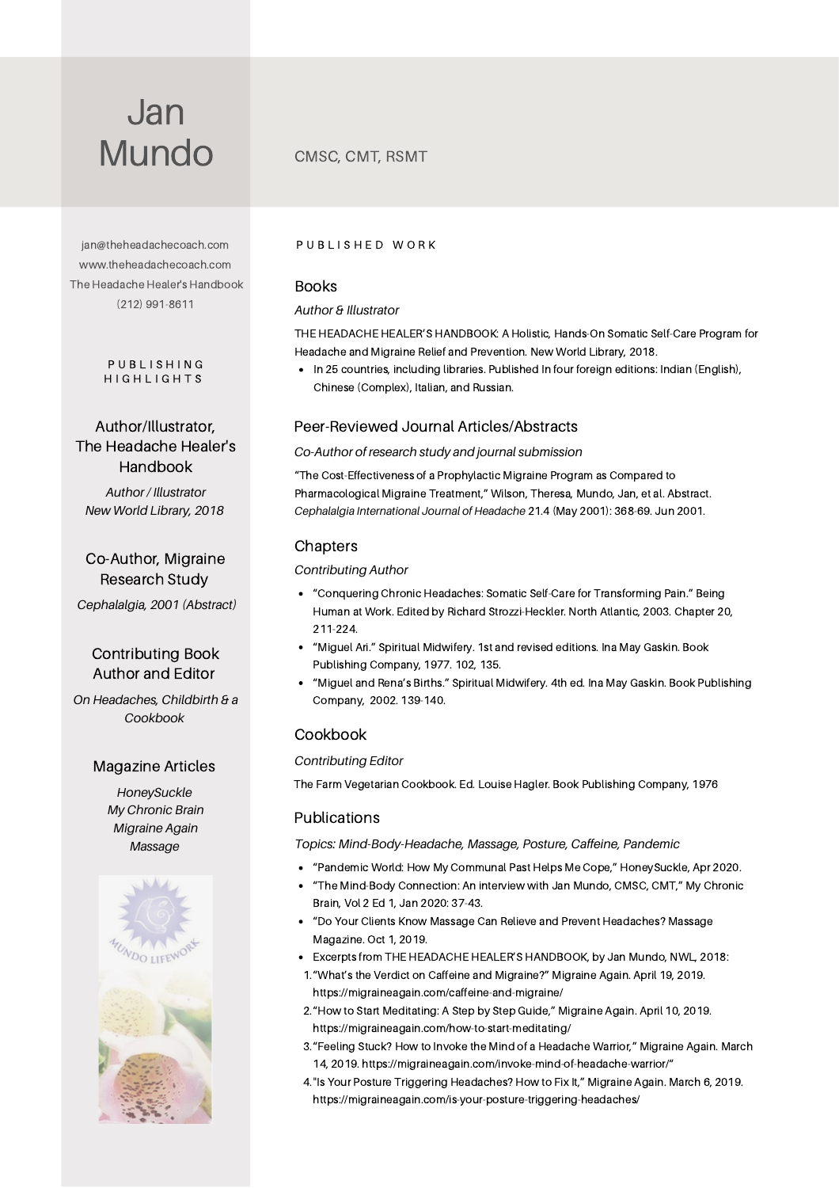[jan@theheadachecoach.com](mailto:jan@theheadachecoach.com) [www.theheadachecoach.com](https://theheadachecoach.com/) The Headache Healer's [Handbook](https://amzn.to/2vPeOe3) (212) 991-8611

#### P U B L I S H I N G H I G H L I G H T S

Author/Illustrator, The Headache Healer's Handbook

*Author / Illustrator New World Library, 2018*

Co-Author, Migraine Research Study *Cephalalgia, 2001 (Abstract)*

## Contributing Book Author and Editor

*On Headaches, Childbirth & a Cookbook*

#### Magazine Articles

*HoneySuckle My Chronic Brain Migraine Again Massage*



#### PUBLISHED WORK

#### Books

#### *Author & Illustrator*

THE HEADACHE HEALER'S HANDBOOK: A Holistic, Hands-On Somatic Self-Care Program for Headache and Migraine Relief and Prevention. New World Library, 2018.

• In 25 countries, including libraries. Published In four foreign editions: Indian (English), Chinese (Complex), Italian, and Russian.

## Peer-Reviewed Journal Articles/Abstracts

#### *Co-Author of research study and journal submission*

"The Cost-Effectiveness of a Prophylactic Migraine Program as Compared to Pharmacological Migraine Treatment," Wilson, Theresa, Mundo, Jan, et al. Abstract. *Cephalalgia International Journal of Headache* 21.4 (May 2001): 368-69. Jun 2001.

#### **Chapters**

#### *Contributing Author*

- "Conquering Chronic Headaches: Somatic Self-Care for Transforming Pain." Being Human at Work. Edited by Richard Strozzi-Heckler. North Atlantic, 2003. Chapter 20, 211-224.
- "Miguel Ari." Spiritual Midwifery. 1st and revised editions. Ina May Gaskin. Book Publishing Company, 1977. 102, 135.
- "Miguel and Rena's Births." Spiritual Midwifery. 4th ed. Ina May Gaskin. Book Publishing Company, 2002. 139-140.

## Cookbook

#### *Contributing Editor*

The Farm Vegetarian Cookbook. Ed. Louise Hagler. Book Publishing Company, 1976

## Publications

*Topics: Mind-Body-Headache, Massage, Posture, Caffeine, Pandemic*

- "Pandemic World: How My Communal Past Helps Me Cope," HoneySuckle, Apr 2020.
- "The [Mind-Body](https://www.mychronicbrain.com/) Connection: An interview with Jan Mundo, CMSC, CMT," My Chronic Brain, Vol 2 Ed 1, Jan 2020: 37-43.
- "Do Your Clients Know Massage Can Relieve and Prevent [Headaches?](https://www.massagemag.com/prevent-headaches-119211/?fbclid=IwAR11_Y6609aTDzeSNiRSg_k_vqLXTa9gIEg5jtR9drc8SxeJJP4Il19X10A) Massage Magazine. Oct 1, 2019.
- Excerpts from THE HEADACHE HEALER'S HANDBOOK, by Jan Mundo, NWL, 2018:
- 1. "What's the Verdict on Caffeine and Migraine?" Migraine Again. April 19, 2019. <https://migraineagain.com/caffeine-and-migraine/>
- 2. "How to Start Meditating: A Step by Step Guide," Migraine Again. April 10, 2019. <https://migraineagain.com/how-to-start-meditating/>
- 3. "Feeling Stuck? How to Invoke the Mind of a Headache Warrior," Migraine Again. March 14, 2019. <https://migraineagain.com/invoke-mind-of-headache-warrior/>"
- 4. "Is Your Posture Triggering Headaches? How to Fix It," Migraine Again. March 6, 2019. <https://migraineagain.com/is-your-posture-triggering-headaches/>